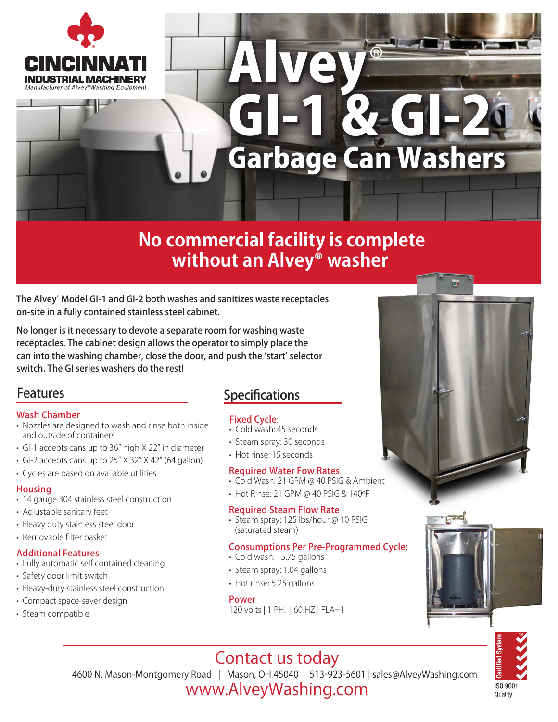

## Alvey GI-1 & GI-2 ® Garbage Can Washers

## **No commercial facility is complete without an Alvey® washer**

The Alvey® Model GI-1 and GI-2 both washes and sanitizes waste receptacles on-site in a fully contained stainless steel cabinet.

No longer is it necessary to devote a separate room for washing waste receptacles. The cabinet design allows the operator to simply place the can into the washing chamber, close the door, and push the 'start' selector switch. The GI series washers do the rest!

#### Features

#### Wash Chamber

- Nozzles are designed to wash and rinse both inside and outside of containers
- GI-1 accepts cans up to 36" high X 22" in diameter
- GI-2 accepts cans up to 25" X 32" X 42" (64 gallon)
- Cycles are based on available utilities

#### **Housing**

- 14 gauge 304 stainless steel construction
- Adjustable sanitary feet
- Heavy duty stainless steel door
- Removable filter basket

#### Additional Features

- Fully automatic self contained cleaning
- Safety door limit switch
- Heavy-duty stainless steel construction
- Compact space-saver design
- Steam compatible

#### **Specifications**

#### Fixed Cycle:

- Cold wash: 45 seconds
- Steam spray: 30 seconds
- Hot rinse: 15 seconds

#### Required Water Fow Rates

- Cold Wash: 21 GPM @ 40 PSIG & Ambient
- Hot Rinse: 21 GPM @ 40 PSIG & 140ºF

#### Required Steam Flow Rate

• Steam spray: 125 lbs/hour @ 10 PSIG (saturated steam)

#### Consumptions Per Pre-Programmed Cycle:

- Cold wash: 15.75 gallons
- Steam spray: 1.04 gallons
- Hot rinse: 5.25 gallons

#### Power

120 volts | 1 PH. | 60 HZ | FLA=1





## Contact us today

4600 N. Mason-Montgomery Road | Mason, OH 45040 | 513-923-5601 | sales@AlveyWashing.com

### www.AlveyWashing.com